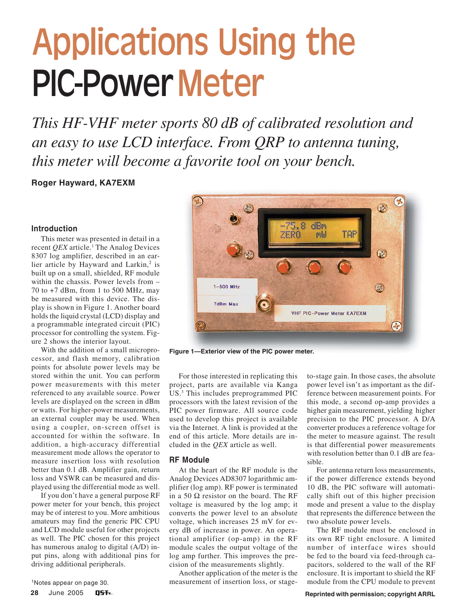# Applications Using the PIC-Power Meter

*This HF-VHF meter sports 80 dB of calibrated resolution and an easy to use LCD interface. From QRP to antenna tuning, this meter will become a favorite tool on your bench.*

**Roger Hayward, KA7EXM**

# **Introduction**

This meter was presented in detail in a recent *QEX* article.<sup>1</sup> The Analog Devices 8307 log amplifier, described in an earlier article by Hayward and Larkin,<sup>2</sup> is built up on a small, shielded, RF module within the chassis. Power levels from – 70 to +7 dBm, from 1 to 500 MHz, may be measured with this device. The display is shown in Figure 1. Another board holds the liquid crystal (LCD) display and a programmable integrated circuit (PIC) processor for controlling the system. Figure 2 shows the interior layout.

With the addition of a small microprocessor, and flash memory, calibration points for absolute power levels may be stored within the unit. You can perform power measurements with this meter referenced to any available source. Power levels are displayed on the screen in dBm or watts. For higher-power measurements, an external coupler may be used. When using a coupler, on-screen offset is accounted for within the software. In addition, a high-accuracy differential measurement mode allows the operator to measure insertion loss with resolution better than 0.1 dB. Amplifier gain, return loss and VSWR can be measured and displayed using the differential mode as well.

If you don't have a general purpose RF power meter for your bench, this project may be of interest to you. More ambitious amateurs may find the generic PIC CPU and LCD module useful for other projects as well. The PIC chosen for this project has numerous analog to digital (A/D) input pins, along with additional pins for driving additional peripherals.



**Figure 1—Exterior view of the PIC power meter.**

For those interested in replicating this project, parts are available via Kanga US.3 This includes preprogrammed PIC processors with the latest revision of the PIC power firmware. All source code used to develop this project is available via the Internet. A link is provided at the end of this article. More details are included in the *QEX* article as well.

## **RF Module**

At the heart of the RF module is the Analog Devices AD8307 logarithmic amplifier (log amp). RF power is terminated in a 50  $\Omega$  resistor on the board. The RF voltage is measured by the log amp; it converts the power level to an absolute voltage, which increases 25 mV for every dB of increase in power. An operational amplifier (op-amp) in the RF module scales the output voltage of the log amp further. This improves the precision of the measurements slightly.

Another application of the meter is the measurement of insertion loss, or stageto-stage gain. In those cases, the absolute power level isn't as important as the difference between measurement points. For this mode, a second op-amp provides a higher gain measurement, yielding higher precision to the PIC processor. A D/A converter produces a reference voltage for the meter to measure against. The result is that differential power measurements with resolution better than 0.1 dB are feasible.

For antenna return loss measurements, if the power difference extends beyond 10 dB, the PIC software will automatically shift out of this higher precision mode and present a value to the display that represents the difference between the two absolute power levels.

The RF module must be enclosed in its own RF tight enclosure. A limited number of interface wires should be fed to the board via feed-through capacitors, soldered to the wall of the RF enclosure. It is important to shield the RF module from the CPU module to prevent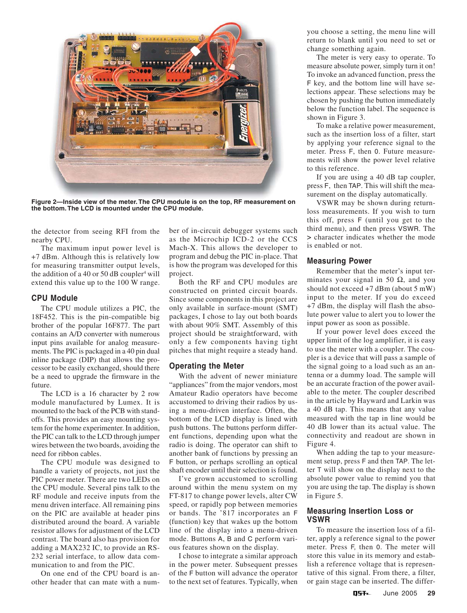

**Figure 2—Inside view of the meter. The CPU module is on the top, RF measurement on the bottom. The LCD is mounted under the CPU module.**

the detector from seeing RFI from the nearby CPU.

The maximum input power level is +7 dBm. Although this is relatively low for measuring transmitter output levels, the addition of a 40 or 50 dB coupler<sup>4</sup> will extend this value up to the 100 W range.

## **CPU Module**

The CPU module utilizes a PIC, the 18F452. This is the pin-compatible big brother of the popular 16F877. The part contains an A/D converter with numerous input pins available for analog measurements. The PIC is packaged in a 40 pin dual inline package (DIP) that allows the processor to be easily exchanged, should there be a need to upgrade the firmware in the future.

The LCD is a 16 character by 2 row module manufactured by Lumex. It is mounted to the back of the PCB with standoffs. This provides an easy mounting system for the home experimenter. In addition, the PIC can talk to the LCD through jumper wires between the two boards, avoiding the need for ribbon cables.

The CPU module was designed to handle a variety of projects, not just the PIC power meter. There are two LEDs on the CPU module. Several pins talk to the RF module and receive inputs from the menu driven interface. All remaining pins on the PIC are available at header pins distributed around the board. A variable resistor allows for adjustment of the LCD contrast. The board also has provision for adding a MAX232 IC, to provide an RS-232 serial interface, to allow data communication to and from the PIC.

On one end of the CPU board is another header that can mate with a num-

ber of in-circuit debugger systems such as the Microchip ICD-2 or the CCS Mach-X. This allows the developer to program and debug the PIC in-place. That is how the program was developed for this project.

Both the RF and CPU modules are constructed on printed circuit boards. Since some components in this project are only available in surface-mount (SMT) packages, I chose to lay out both boards with about 90% SMT. Assembly of this project should be straightforward, with only a few components having tight pitches that might require a steady hand.

## **Operating the Meter**

With the advent of newer miniature "appliances" from the major vendors, most Amateur Radio operators have become accustomed to driving their radios by using a menu-driven interface. Often, the bottom of the LCD display is lined with push buttons. The buttons perform different functions, depending upon what the radio is doing. The operator can shift to another bank of functions by pressing an F button, or perhaps scrolling an optical shaft encoder until their selection is found.

I've grown accustomed to scrolling around within the menu system on my FT-817 to change power levels, alter CW speed, or rapidly pop between memories or bands. The '817 incorporates an F (function) key that wakes up the bottom line of the display into a menu-driven mode. Buttons A, B and C perform various features shown on the display.

I chose to integrate a similar approach in the power meter. Subsequent presses of the F button will advance the operator to the next set of features. Typically, when

you choose a setting, the menu line will return to blank until you need to set or change something again.

The meter is very easy to operate. To measure absolute power, simply turn it on! To invoke an advanced function, press the F key, and the bottom line will have selections appear. These selections may be chosen by pushing the button immediately below the function label. The sequence is shown in Figure 3.

To make a relative power measurement, such as the insertion loss of a filter, start by applying your reference signal to the meter. Press F, then 0. Future measurements will show the power level relative to this reference.

If you are using a 40 dB tap coupler, press F, then TAP. This will shift the measurement on the display automatically.

VSWR may be shown during returnloss measurements. If you wish to turn this off, press F (until you get to the third menu), and then press VSWR. The **>** character indicates whether the mode is enabled or not.

## **Measuring Power**

Remember that the meter's input terminates your signal in 50  $\Omega$ , and you should not exceed +7 dBm (about 5 mW) input to the meter. If you do exceed +7 dBm, the display will flash the absolute power value to alert you to lower the input power as soon as possible.

If your power level does exceed the upper limit of the log amplifier, it is easy to use the meter with a coupler. The coupler is a device that will pass a sample of the signal going to a load such as an antenna or a dummy load. The sample will be an accurate fraction of the power available to the meter. The coupler described in the article by Hayward and Larkin was a 40 dB tap. This means that any value measured with the tap in line would be 40 dB lower than its actual value. The connectivity and readout are shown in Figure 4.

When adding the tap to your measurement setup, press F and then TAP. The letter T will show on the display next to the absolute power value to remind you that you are using the tap. The display is shown in Figure 5.

### **Measuring Insertion Loss or VSWR**

To measure the insertion loss of a filter, apply a reference signal to the power meter. Press F, then 0. The meter will store this value in its memory and establish a reference voltage that is representative of this signal. From there, a filter, or gain stage can be inserted. The differ-